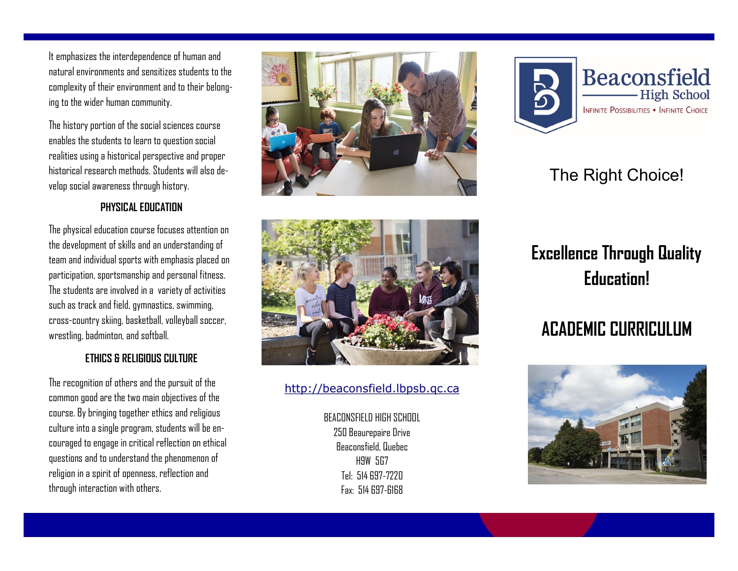It emphasizes the interdependence of human and natural environments and sensitizes students to the complexity of their environment and to their belonging to the wider human community.

The history portion of the social sciences course enables the students to learn to question social realities using a historical perspective and proper historical research methods. Students will also develop social awareness through history.

## **PHYSICAL EDUCATION**

The physical education course focuses attention on the development of skills and an understanding of team and individual sports with emphasis placed on participation, sportsmanship and personal fitness. The students are involved in a variety of activities such as track and field, gymnastics, swimming, cross-country skiing, basketball, volleyball soccer, wrestling, badminton, and softball.

## **ETHICS & RELIGIOUS CULTURE**

The recognition of others and the pursuit of the common good are the two main objectives of the course. By bringing together ethics and religious culture into a single program, students will be encouraged to engage in critical reflection on ethical questions and to understand the phenomenon of religion in a spirit of openness, reflection and through interaction with others.





## [http://beaconsfield.lbpsb.qc.ca](http://beaconsfield.lbpsb.qc.ca/)

BEACONSFIELD HIGH SCHOOL 250 Beaurepaire Drive Beaconsfield, Quebec H9W 5G7 Tel: 514 697-7220 Fax: 514 697-6168



## The Right Choice!

# **Excellence Through Quality Education!**

# **ACADEMIC CURRICULUM**